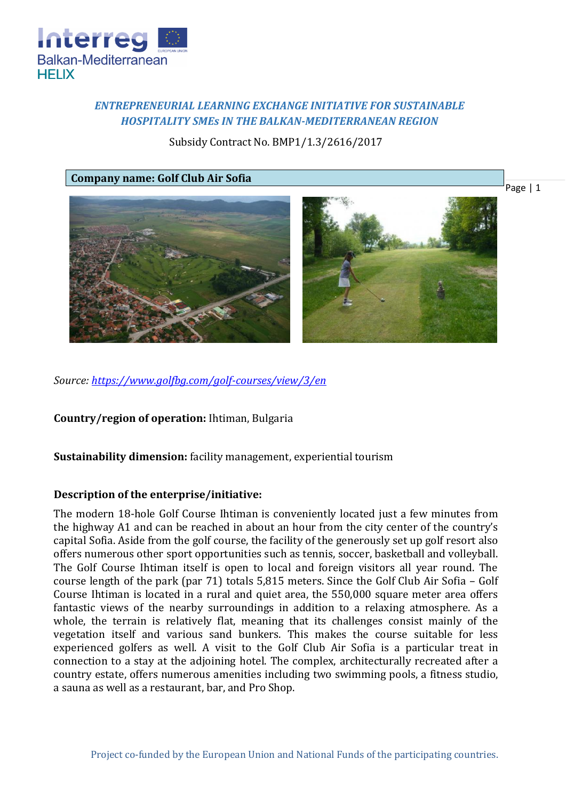

# *ENTREPRENEURIAL LEARNING EXCHANGE INITIATIVE FOR SUSTAINABLE HOSPITALITY SMEs IN THE BALKAN-MEDITERRANEAN REGION*

Subsidy Contract No. BMP1/1.3/2616/2017

**Company name: Golf Club Air Sofia**



*Source:<https://www.golfbg.com/golf-courses/view/3/en>*

**Country/region of operation:** Ihtiman, Bulgaria

**Sustainability dimension:** facility management, experiential tourism

## **Description of the enterprise/initiative:**

The modern 18-hole Golf Course Ihtiman is conveniently located just a few minutes from the highway A1 and can be reached in about an hour from the city center of the country's capital Sofia. Aside from the golf course, the facility of the generously set up golf resort also offers numerous other sport opportunities such as tennis, soccer, basketball and volleyball. The Golf Course Ihtiman itself is open to local and foreign visitors all year round. The course length of the park (par 71) totals 5,815 meters. Since the Golf Club Air Sofia – Golf Course Ihtiman is located in a rural and quiet area, the 550,000 square meter area offers fantastic views of the nearby surroundings in addition to a relaxing atmosphere. As a whole, the terrain is relatively flat, meaning that its challenges consist mainly of the vegetation itself and various sand bunkers. This makes the course suitable for less experienced golfers as well. A visit to the Golf Club Air Sofia is a particular treat in connection to a stay at the adjoining hotel. The complex, architecturally recreated after a country estate, offers numerous amenities including two swimming pools, a fitness studio, a sauna as well as a restaurant, bar, and Pro Shop.

Page | 1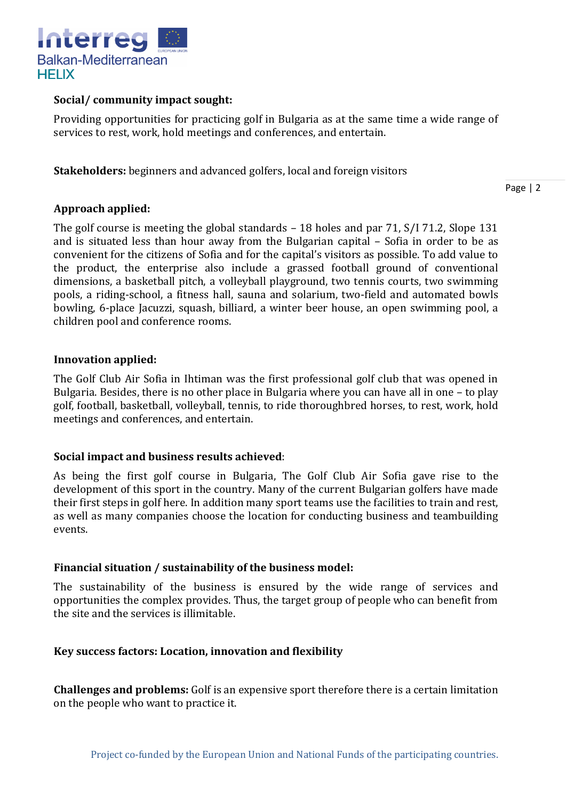

## **Social/ community impact sought:**

Providing opportunities for practicing golf in Bulgaria as at the same time a wide range of services to rest, work, hold meetings and conferences, and entertain.

**Stakeholders:** beginners and advanced golfers, local and foreign visitors

Page | 2

## **Approach applied:**

The golf course is meeting the global standards – 18 holes and par 71, S/I 71.2, Slope 131 and is situated less than hour away from the Bulgarian capital – Sofia in order to be as convenient for the citizens of Sofia and for the capital's visitors as possible. To add value to the product, the enterprise also include a grassed football ground of conventional dimensions, a basketball pitch, a volleyball playground, two tennis courts, two swimming pools, a riding-school, a fitness hall, sauna and solarium, two-field and automated bowls bowling, 6-place Jacuzzi, squash, billiard, a winter beer house, an open swimming pool, a children pool and conference rooms.

## **Innovation applied:**

The Golf Club Air Sofia in Ihtiman was the first professional golf club that was opened in Bulgaria. Besides, there is no other place in Bulgaria where you can have all in one – to play golf, football, basketball, volleyball, tennis, to ride thoroughbred horses, to rest, work, hold meetings and conferences, and entertain.

# **Social impact and business results achieved**:

As being the first golf course in Bulgaria, The Golf Club Air Sofia gave rise to the development of this sport in the country. Many of the current Bulgarian golfers have made their first steps in golf here. In addition many sport teams use the facilities to train and rest, as well as many companies choose the location for conducting business and teambuilding events.

### **Financial situation / sustainability of the business model:**

The sustainability of the business is ensured by the wide range of services and opportunities the complex provides. Thus, the target group of people who can benefit from the site and the services is illimitable.

### **Key success factors: Location, innovation and flexibility**

**Challenges and problems:** Golf is an expensive sport therefore there is a certain limitation on the people who want to practice it.